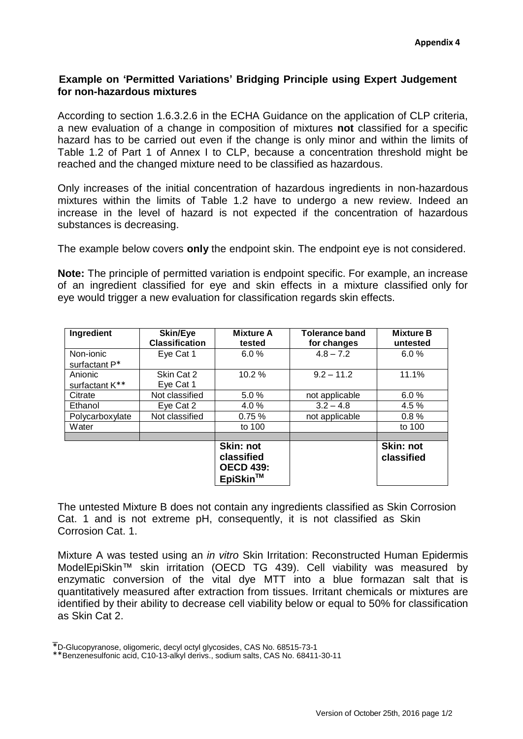## **Example on 'Permitted Variations' Bridging Principle using Expert Judgement for non-hazardous mixtures**

According to section 1.6.3.2.6 in the ECHA Guidance on the application of CLP criteria, a new evaluation of a change in composition of mixtures **not** classified for a specific hazard has to be carried out even if the change is only minor and within the limits of Table 1.2 of Part 1 of Annex I to CLP, because a concentration threshold might be reached and the changed mixture need to be classified as hazardous.

Only increases of the initial concentration of hazardous ingredients in non-hazardous mixtures within the limits of Table 1.2 have to undergo a new review. Indeed an increase in the level of hazard is not expected if the concentration of hazardous substances is decreasing.

The example below covers **only** the endpoint skin. The endpoint eye is not considered.

**Note:** The principle of permitted variation is endpoint specific. For example, an increase of an ingredient classified for eye and skin effects in a mixture classified only for eye would trigger a new evaluation for classification regards skin effects.

| Ingredient      | Skin/Eye<br><b>Classification</b> | <b>Mixture A</b><br>tested                              | <b>Tolerance band</b><br>for changes | <b>Mixture B</b><br>untested |
|-----------------|-----------------------------------|---------------------------------------------------------|--------------------------------------|------------------------------|
| Non-ionic       | Eye Cat 1                         | 6.0%                                                    | $4.8 - 7.2$                          | 6.0%                         |
| surfactant P*   |                                   |                                                         |                                      |                              |
| Anionic         | Skin Cat 2                        | 10.2%                                                   | $9.2 - 11.2$                         | 11.1%                        |
| surfactant K**  | Eye Cat 1                         |                                                         |                                      |                              |
| Citrate         | Not classified                    | 5.0%                                                    | not applicable                       | 6.0%                         |
| Ethanol         | Eye Cat 2                         | 4.0%                                                    | $3.2 - 4.8$                          | 4.5 %                        |
| Polycarboxylate | Not classified                    | 0.75%                                                   | not applicable                       | 0.8%                         |
| Water           |                                   | to 100                                                  |                                      | to 100                       |
|                 |                                   |                                                         |                                      |                              |
|                 |                                   | Skin: not<br>classified<br><b>OECD 439:</b><br>EpiSkin™ |                                      | Skin: not<br>classified      |

The untested Mixture B does not contain any ingredients classified as Skin Corrosion Cat. 1 and is not extreme pH, consequently, it is not classified as Skin Corrosion Cat. 1.

Mixture A was tested using an *in vitro* Skin Irritation: Reconstructed Human Epidermis ModelEpiSkin™ skin irritation (OECD TG 439). Cell viability was measured by enzymatic conversion of the vital dye MTT into a blue formazan salt that is quantitatively measured after extraction from tissues. Irritant chemicals or mixtures are identified by their ability to decrease cell viability below or equal to 50% for classification as Skin Cat 2.

 $\bot$ \*D-Glucopyranose, oligomeric, decyl octyl glycosides, CAS No. 68515-73-1

<sup>\*\*</sup>Benzenesulfonic acid, C10-13-alkyl derivs., sodium salts, CAS No. 68411-30-11